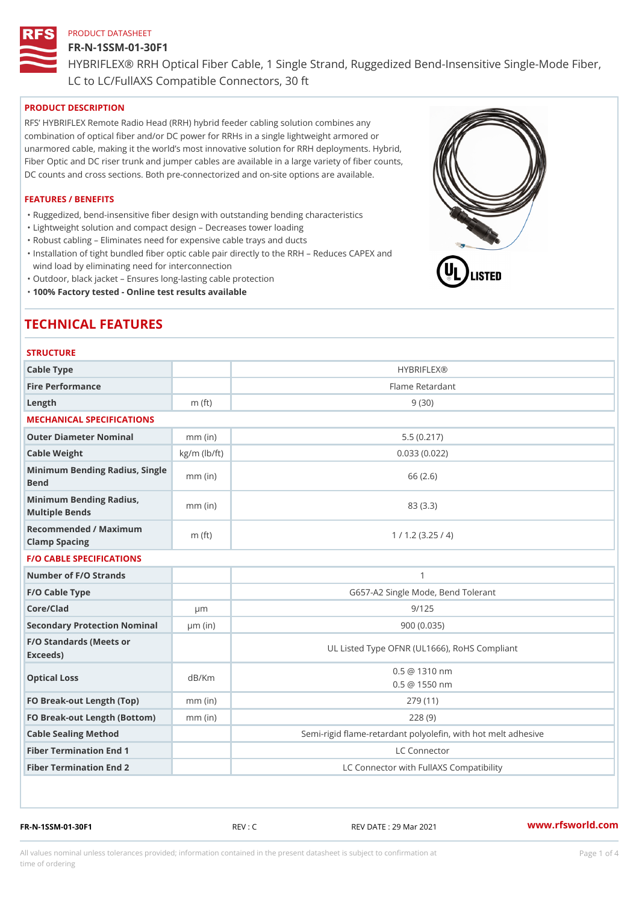# FR-N-1SSM-01-30F1

HYBRIFLEX® RRH Optical Fiber Cable, 1 Single Strand, Ruggedized Be

LC to LC/FullAXS Compatible Connectors, 30 ft

# PRODUCT DESCRIPTION

RFS HYBRIFLEX Remote Radio Head (RRH) hybrid feeder cabling solution combines any combination of optical fiber and/or DC power for RRHs in a single lightweight armored or unarmored cable, making it the world s most innovative solution for RRH deployments. Hybrid, Fiber Optic and DC riser trunk and jumper cables are available in a large variety of fiber counts, DC counts and cross sections. Both pre-connectorized and on-site options are available.

# FEATURES / BENEFITS

"Ruggedized, bend-insensitive fiber design with outstanding bending characteristics

- "Lightweight solution and compact design Decreases tower loading
- "Robust cabling Eliminates need for expensive cable trays and ducts
- "Installation of tight bundled fiber optic cable pair directly to the RRH Aeduces CAPEX and wind load by eliminating need for interconnection
- "Outdoor, black jacket Ensures long-lasting cable protection
- "100% Factory tested Online test results available

# TECHNICAL FEATURES

# **STRUCTURE**

| Cable Type                                        |                    | <b>HYBRIFLEX®</b>                                        |
|---------------------------------------------------|--------------------|----------------------------------------------------------|
| Fire Performance                                  |                    | Flame Retardant                                          |
| Length                                            | $m$ (ft)           | 9(30)                                                    |
| MECHANICAL SPECIFICATIONS                         |                    |                                                          |
| Outer Diameter Nominal                            | $mm$ (in)          | 5.5(0.217)                                               |
| Cable Weight                                      | $kg/m$ ( $lb/ft$ ) | 0.033(0.022)                                             |
| Minimum Bending Radius, Single<br>mm (in)<br>Bend |                    | 66 (2.6)                                                 |
| Minimum Bending Radius, mm (in)<br>Multiple Bends |                    | 83 (3.3)                                                 |
| Recommended / Maximum<br>Clamp Spacing            | m $({\it ft})$     | 1 / 1.2 (3.25 / 4)                                       |
| <b>F/O CABLE SPECIFICATIONS</b>                   |                    |                                                          |
| Number of F/O Strands                             |                    | $\mathbf{1}$                                             |
| F/O Cable Type                                    |                    | G657-A2 Single Mode, Bend Tolerant                       |
| Core/Clad                                         | µ m                | 9/125                                                    |
| Secondary Protection Nomimal(in)                  |                    | 900(0.035)                                               |
| F/O Standards (Meets or<br>Exceeds)               |                    | UL Listed Type OFNR (UL1666), RoHS Compliant             |
| Optical Loss                                      | dB/Km              | $0.5 \ @ \ 1310 \ nm$<br>$0.5 \t@ 1550 nm$               |
| FO Break-out Length (Top)mm (in)                  |                    | 279 (11)                                                 |
| FO Break-out Length (Bottomm) (in)                |                    | 228(9)                                                   |
| Cable Sealing Method                              |                    | Semi-rigid flame-retardant polyolefin, with hot melt adl |
| Fiber Termination End                             |                    | LC Connector                                             |
| Fiber Termination End 2                           |                    | LC Connector with FullAXS Compatibility                  |

FR-N-1SSM-01-30F1 REV : C REV DATE : 29 Mar 2021 [www.](https://www.rfsworld.com)rfsworld.com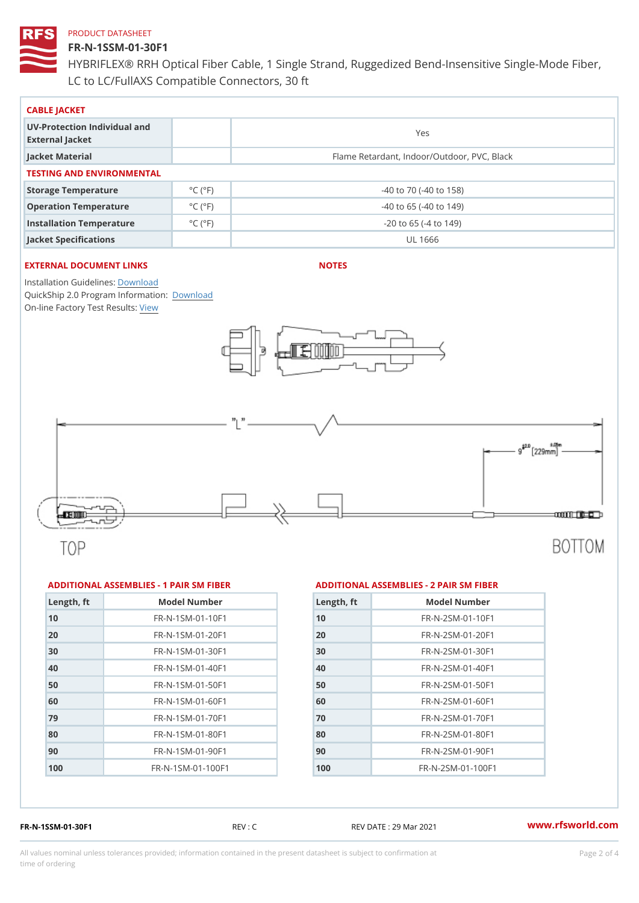# FR-N-1SSM-01-30F1

HYBRIFLEX® RRH Optical Fiber Cable, 1 Single Strand, Ruggedized Be LC to LC/FullAXS Compatible Connectors, 30 ft

| CABLE JACKET                                    |                             |                                             |  |  |  |
|-------------------------------------------------|-----------------------------|---------------------------------------------|--|--|--|
| UV-Protection Individual and<br>External Jacket |                             | Yes                                         |  |  |  |
| Jacket Material                                 |                             | Flame Retardant, Indoor/Outdoor, PVC, Black |  |  |  |
| TESTING AND ENVIRONMENTAL                       |                             |                                             |  |  |  |
| Storage Temperature                             | $^{\circ}$ C ( $^{\circ}$ F | $-40$ to $70$ ( $-40$ to $158$ )            |  |  |  |
| Operation Temperature                           | $^{\circ}$ C ( $^{\circ}$ F | $-40$ to 65 ( $-40$ to 149)                 |  |  |  |
| Installation Temperature                        | $^{\circ}$ C ( $^{\circ}$ F | $-20$ to 65 ( $-4$ to 149)                  |  |  |  |
| Jacket Specifications                           |                             | UL 1666                                     |  |  |  |

# EXTERNAL DOCUMENT LINKS

NOTES

Installation Guidelwinessad QuickShip 2.0 Program [Informa](http://www.rfsworld.com/images/hybriflex/quickship_program_2.pdf)tion: On-line Factory Te[s](https://www.rfsworld.com/pictures/userfiles/programs/AAST Latest Version.zip)teResults:

#### ADDITIONAL ASSEMBLIES - 1 PAIR SM FIBERED DITIONAL ASSEMBLIES - 2 PAIR SM FIBER

| Length, ft | Model Number                   |
|------------|--------------------------------|
| 10         | $FR - N - 1$ S M - 01 - 10 F 1 |
| 20         | $FR - N - 1$ S M - 01 - 20 F 1 |
| 30         | $FR - N - 1$ S M - 01 - 30 F 1 |
| 40         | FR-N-1SM-01-40F1               |
| 50         | FR-N-1SM-01-50F1               |
| 60         | $FR - N - 1$ S M - 01 - 60 F 1 |
| 79         | $FR - N - 1$ S M - 01 - 70 F 1 |
| 80         | FR-N-1SM-01-80F1               |
| 90         | $FR - N - 1$ S M - 01 - 90 F 1 |
| 100        | FR-N-1SM-01-100F1              |

| Length, ft | Model Number                  |
|------------|-------------------------------|
| 10         | $FR - N - 2 SM - 01 - 10 F1$  |
| 20         | FR-N-2SM-01-20F1              |
| 30         | $FR - N - 2 SM - 01 - 30 F1$  |
| 40         | $FR - N - 2SM - 01 - 40F1$    |
| 50         | FR-N-2SM-01-50F1              |
| 60         | $FR - N - 2 SM - 01 - 60 F1$  |
| 70         | $FR - N - 2 SM - 01 - 70 F1$  |
| 80         | FR-N-2SM-01-80F1              |
| 90         | $FR - N - 2 S M - 01 - 90 F1$ |
| 100        | FR-N-2SM-01-100F1             |
|            |                               |

FR-N-1SSM-01-30F1 REV : C REV DATE : 29 Mar 2021 [www.](https://www.rfsworld.com)rfsworld.com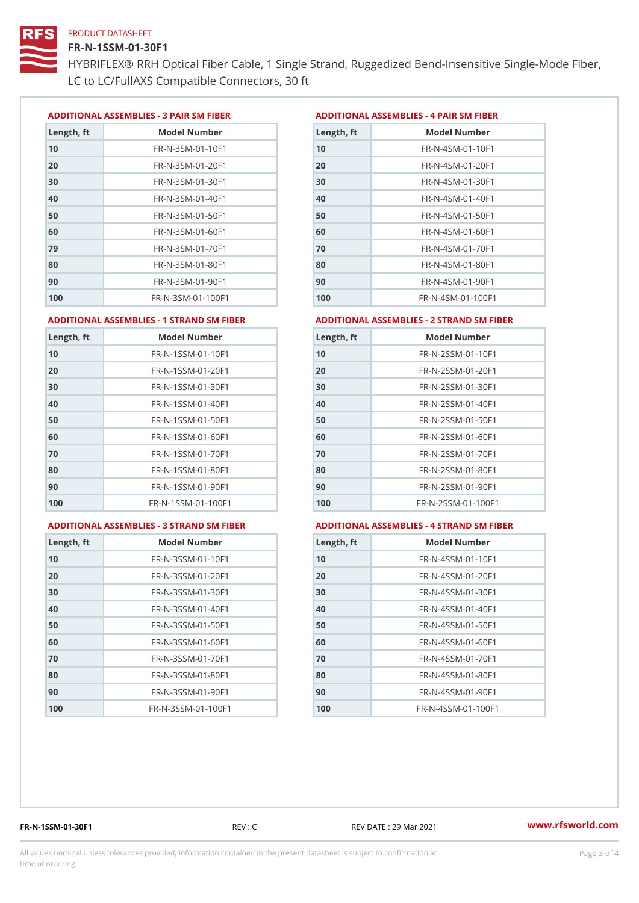# FR-N-1SSM-01-30F1

HYBRIFLEX® RRH Optical Fiber Cable, 1 Single Strand, Ruggedized Be LC to LC/FullAXS Compatible Connectors, 30 ft

ADDITIONAL ASSEMBLIES - 3 PAIR SM FIBERED DITIONAL ASSEMBLIES - 4 PAIR SM FIBER

| Length, ft | Model Number                   |
|------------|--------------------------------|
| 10         | $FR - N - 3 S M - 01 - 10 F1$  |
| 20         | FR-N-3SM-01-20F1               |
| 30         | FR-N-3SM-01-30F1               |
| 40         | $FR - N - 3 S M - 01 - 40 F1$  |
| 50         | FR-N-3SM-01-50F1               |
| 60         | $FR - N - 3 S M - 01 - 60 F1$  |
| 79         | $FR - N - 3 S M - 01 - 70 F1$  |
| 80         | $FR - N - 3 S M - 01 - 80 F1$  |
| 90         | FR-N-3SM-01-90F1               |
| 100        | $FR - N - 3 S M - 01 - 100 F1$ |

| Length, ft | Model Number                   |
|------------|--------------------------------|
| 10         | FR-N-4SM-01-10F1               |
| 20         | $FR - N - 4 SM - 01 - 20 F1$   |
| 30         | $FR - N - 4 S M - 01 - 30 F1$  |
| 40         | FR-N-4SM-01-40F1               |
| 50         | $FR - N - 4 SM - 01 - 50 F1$   |
| 60         | $FR - N - 4 SM - 01 - 60 F1$   |
| 70         | $FR - N - 4 SM - 01 - 70 F1$   |
| 80         | $FR - N - 4 SM - 01 - 80 F1$   |
| 90         | $FR - N - 4 SM - 01 - 90 F1$   |
| 100        | $FR - N - 4 S M - 01 - 100 F1$ |

#### ADDITIONAL ASSEMBLIES - 1 STRAND SM FABSDRTIONAL ASSEMBLIES - 2 STRAND SM FIBER

| 10<br>FR-N-1SSM-01-10F1<br>10<br>FR-N-2SSM-01-10F1<br>20<br>$FR - N - 2SSM - 01 - 20F1$<br>FR-N-1SSM-01-20F1<br>30<br>FR-N-1SSM-01-30F1<br>30<br>FR-N-2SSM-01-30F1 |  |
|--------------------------------------------------------------------------------------------------------------------------------------------------------------------|--|
| 20                                                                                                                                                                 |  |
|                                                                                                                                                                    |  |
|                                                                                                                                                                    |  |
| 40<br>FR-N-1SSM-01-40F1<br>40<br>FR-N-2SSM-01-40F1                                                                                                                 |  |
| 50<br>50<br>FR-N-1SSM-01-50F1<br>FR-N-2SSM-01-50F1                                                                                                                 |  |
| 60<br>$FR - N - 1$ S S M - 01 - 60 F 1<br>60<br>$FR - N - 2SSM - 01 - 60F1$                                                                                        |  |
| 70<br>70<br>$FR - N - 2SSM - 01 - 70F1$<br>FR-N-1SSM-01-70F1                                                                                                       |  |
| 80<br>FR-N-1SSM-01-80F1<br>80<br>FR-N-2SSM-01-80F1                                                                                                                 |  |
| 90<br>FR-N-1SSM-01-90F1<br>90<br>FR-N-2SSM-01-90F1                                                                                                                 |  |
| 100<br>$FR - N - 1$ S S M - 01 - 100 F 1<br>100<br>$FR - N - 2$ S S M - 01 - 100 F 1                                                                               |  |

#### ADDITIONAL ASSEMBLIES - 3 STRAND SM

| <i>I</i> FABDERTIONAL ASSEMBLIE |
|---------------------------------|
|---------------------------------|

# MBLIES - 4 STRAND SM FIBER

| Length, ft | Model Number                    |
|------------|---------------------------------|
| 10         | FR-N-3SSM-01-10F1               |
| 20         | FR-N-3SSM-01-20F1               |
| 30         | FR-N-3SSM-01-30F1               |
| 40         | FR-N-3SSM-01-40F1               |
| 50         | $FR - N - 3 S S M - 01 - 50 F1$ |
| 60         | $FR - N - 3 S S M - 01 - 60 F1$ |
| 70         | FR-N-3SSM-01-70F1               |
| 80         | FR-N-3SSM-01-80F1               |
| 90         | FR-N-3SSM-01-90F1               |
| 100        | FR-N-3SSM-01-100F1              |

| Length, ft | Model Number                     |
|------------|----------------------------------|
| 10         | FR-N-4SSM-01-10F1                |
| 20         | FR-N-4SSM-01-20F1                |
| 30         | $FR - N - 4 S S M - 01 - 30 F1$  |
| 40         | $FR - N - 4 S S M - 01 - 40 F1$  |
| 50         | FR-N-4SSM-01-50F1                |
| 60         | $FR - N - 4$ S S M - 01 - 60 F 1 |
| 70         | $FR - N - 4$ S S M - 01 - 70 F 1 |
| 80         | FR-N-4SSM-01-80F1                |
| 90         | $FR - N - 4$ S S M - 01 - 90 F 1 |
| 100        | FR-N-4SSM-01-100F1               |

FR-N-1SSM-01-30F1 REV : C REV DATE : 29 Mar 2021 [www.](https://www.rfsworld.com)rfsworld.com

All values nominal unless tolerances provided; information contained in the present datasheet is subject to Pcapgeling that i time of ordering